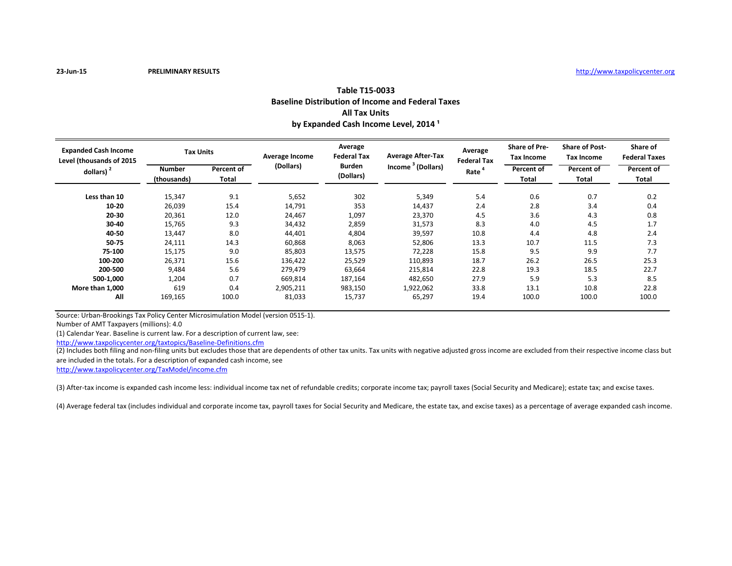| Table T15-0033                                           |
|----------------------------------------------------------|
| <b>Baseline Distribution of Income and Federal Taxes</b> |
| <b>All Tax Units</b>                                     |
| by Expanded Cash Income Level, 2014 <sup>1</sup>         |

| <b>Expanded Cash Income</b><br>Level (thousands of 2015<br>dollars) $2$ | <b>Tax Units</b>             |                     | <b>Average Income</b> | Average<br><b>Federal Tax</b> | <b>Average After-Tax</b>      | Average<br><b>Federal Tax</b> | <b>Share of Pre-</b><br><b>Tax Income</b> | <b>Share of Post-</b><br><b>Tax Income</b> | Share of<br><b>Federal Taxes</b> |
|-------------------------------------------------------------------------|------------------------------|---------------------|-----------------------|-------------------------------|-------------------------------|-------------------------------|-------------------------------------------|--------------------------------------------|----------------------------------|
|                                                                         | <b>Number</b><br>(thousands) | Percent of<br>Total | (Dollars)             | <b>Burden</b><br>(Dollars)    | Income <sup>3</sup> (Dollars) | Rate <sup>4</sup>             | <b>Percent of</b><br>Total                | <b>Percent of</b><br><b>Total</b>          | Percent of<br>Total              |
| Less than 10                                                            | 15,347                       | 9.1                 | 5,652                 | 302                           | 5,349                         | 5.4                           | 0.6                                       | 0.7                                        | 0.2                              |
| $10 - 20$                                                               | 26,039                       | 15.4                | 14,791                | 353                           | 14,437                        | 2.4                           | 2.8                                       | 3.4                                        | 0.4                              |
| $20 - 30$                                                               | 20,361                       | 12.0                | 24,467                | 1,097                         | 23,370                        | 4.5                           | 3.6                                       | 4.3                                        | 0.8                              |
| $30 - 40$                                                               | 15,765                       | 9.3                 | 34,432                | 2,859                         | 31,573                        | 8.3                           | 4.0                                       | 4.5                                        | 1.7                              |
| 40-50                                                                   | 13,447                       | 8.0                 | 44,401                | 4,804                         | 39,597                        | 10.8                          | 4.4                                       | 4.8                                        | 2.4                              |
| 50-75                                                                   | 24,111                       | 14.3                | 60,868                | 8,063                         | 52,806                        | 13.3                          | 10.7                                      | 11.5                                       | 7.3                              |
| 75-100                                                                  | 15,175                       | 9.0                 | 85,803                | 13,575                        | 72,228                        | 15.8                          | 9.5                                       | 9.9                                        | 7.7                              |
| 100-200                                                                 | 26,371                       | 15.6                | 136,422               | 25,529                        | 110,893                       | 18.7                          | 26.2                                      | 26.5                                       | 25.3                             |
| 200-500                                                                 | 9,484                        | 5.6                 | 279,479               | 63,664                        | 215,814                       | 22.8                          | 19.3                                      | 18.5                                       | 22.7                             |
| 500-1,000                                                               | 1,204                        | 0.7                 | 669,814               | 187,164                       | 482,650                       | 27.9                          | 5.9                                       | 5.3                                        | 8.5                              |
| More than 1.000                                                         | 619                          | 0.4                 | 2,905,211             | 983,150                       | 1,922,062                     | 33.8                          | 13.1                                      | 10.8                                       | 22.8                             |
| All                                                                     | 169,165                      | 100.0               | 81,033                | 15,737                        | 65,297                        | 19.4                          | 100.0                                     | 100.0                                      | 100.0                            |

Source: Urban-Brookings Tax Policy Center Microsimulation Model (version 0515-1).

Number of AMT Taxpayers (millions): 4.0

(1) Calendar Year. Baseline is current law. For a description of current law, see:

<http://www.taxpolicycenter.org/taxtopics/Baseline-Definitions.cfm>

(2) Includes both filing and non-filing units but excludes those that are dependents of other tax units. Tax units with negative adjusted gross income are excluded from their respective income class but are included in the totals. For a description of expanded cash income, see

<http://www.taxpolicycenter.org/TaxModel/income.cfm>

(3) After-tax income is expanded cash income less: individual income tax net of refundable credits; corporate income tax; payroll taxes (Social Security and Medicare); estate tax; and excise taxes.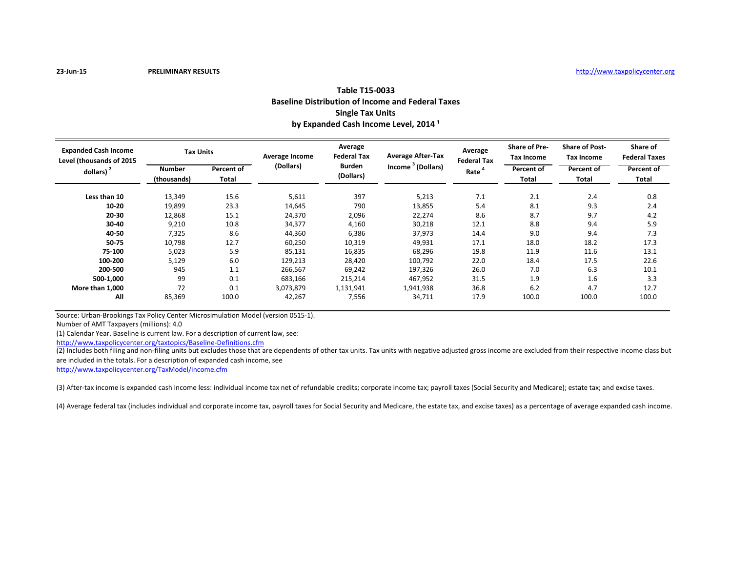| Table T15-0033                                           |
|----------------------------------------------------------|
| <b>Baseline Distribution of Income and Federal Taxes</b> |
| <b>Single Tax Units</b>                                  |
| by Expanded Cash Income Level, 2014 <sup>1</sup>         |

| <b>Expanded Cash Income</b><br>Level (thousands of 2015<br>dollars) $2$ | <b>Tax Units</b>             |                     | <b>Average Income</b> | Average<br><b>Federal Tax</b> | <b>Average After-Tax</b>      | Average<br><b>Federal Tax</b> | <b>Share of Pre-</b><br><b>Tax Income</b> | <b>Share of Post-</b><br><b>Tax Income</b> | Share of<br><b>Federal Taxes</b> |
|-------------------------------------------------------------------------|------------------------------|---------------------|-----------------------|-------------------------------|-------------------------------|-------------------------------|-------------------------------------------|--------------------------------------------|----------------------------------|
|                                                                         | <b>Number</b><br>(thousands) | Percent of<br>Total | (Dollars)             | <b>Burden</b><br>(Dollars)    | Income <sup>3</sup> (Dollars) | Rate <sup>4</sup>             | <b>Percent of</b><br><b>Total</b>         | Percent of<br>Total                        | Percent of<br>Total              |
| Less than 10                                                            | 13,349                       | 15.6                | 5,611                 | 397                           | 5,213                         | 7.1                           | 2.1                                       | 2.4                                        | 0.8                              |
| $10 - 20$                                                               | 19,899                       | 23.3                | 14,645                | 790                           | 13,855                        | 5.4                           | 8.1                                       | 9.3                                        | 2.4                              |
| $20 - 30$                                                               | 12,868                       | 15.1                | 24,370                | 2,096                         | 22,274                        | 8.6                           | 8.7                                       | 9.7                                        | 4.2                              |
| $30 - 40$                                                               | 9,210                        | 10.8                | 34,377                | 4,160                         | 30,218                        | 12.1                          | 8.8                                       | 9.4                                        | 5.9                              |
| 40-50                                                                   | 7,325                        | 8.6                 | 44,360                | 6,386                         | 37,973                        | 14.4                          | 9.0                                       | 9.4                                        | 7.3                              |
| 50-75                                                                   | 10,798                       | 12.7                | 60,250                | 10,319                        | 49,931                        | 17.1                          | 18.0                                      | 18.2                                       | 17.3                             |
| 75-100                                                                  | 5,023                        | 5.9                 | 85,131                | 16,835                        | 68,296                        | 19.8                          | 11.9                                      | 11.6                                       | 13.1                             |
| 100-200                                                                 | 5,129                        | 6.0                 | 129,213               | 28,420                        | 100,792                       | 22.0                          | 18.4                                      | 17.5                                       | 22.6                             |
| 200-500                                                                 | 945                          | 1.1                 | 266,567               | 69,242                        | 197,326                       | 26.0                          | 7.0                                       | 6.3                                        | 10.1                             |
| 500-1,000                                                               | 99                           | 0.1                 | 683,166               | 215,214                       | 467,952                       | 31.5                          | 1.9                                       | 1.6                                        | 3.3                              |
| More than 1.000                                                         | 72                           | 0.1                 | 3,073,879             | 1,131,941                     | 1,941,938                     | 36.8                          | 6.2                                       | 4.7                                        | 12.7                             |
| All                                                                     | 85,369                       | 100.0               | 42,267                | 7,556                         | 34,711                        | 17.9                          | 100.0                                     | 100.0                                      | 100.0                            |

Source: Urban-Brookings Tax Policy Center Microsimulation Model (version 0515-1).

Number of AMT Taxpayers (millions): 4.0

(1) Calendar Year. Baseline is current law. For a description of current law, see:

<http://www.taxpolicycenter.org/taxtopics/Baseline-Definitions.cfm>

(2) Includes both filing and non-filing units but excludes those that are dependents of other tax units. Tax units with negative adjusted gross income are excluded from their respective income class but are included in the totals. For a description of expanded cash income, see

<http://www.taxpolicycenter.org/TaxModel/income.cfm>

(3) After-tax income is expanded cash income less: individual income tax net of refundable credits; corporate income tax; payroll taxes (Social Security and Medicare); estate tax; and excise taxes.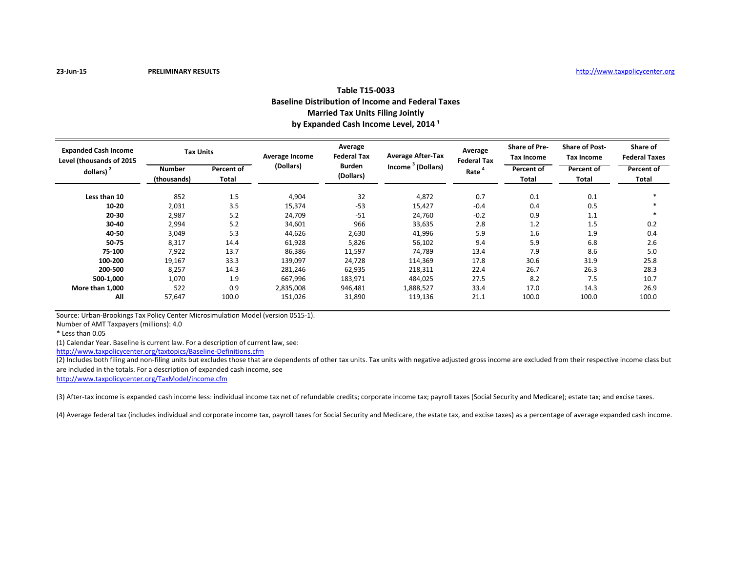## **Table T15-0033 Baseline Distribution of Income and Federal Taxes Married Tax Units Filing Jointly** by Expanded Cash Income Level, 2014<sup>1</sup>

| <b>Expanded Cash Income</b><br>Level (thousands of 2015<br>dollars) $2$ | <b>Tax Units</b>             |                     | <b>Average Income</b> | Average<br><b>Federal Tax</b> | <b>Average After-Tax</b>      | Average<br><b>Federal Tax</b> | <b>Share of Pre-</b><br>Tax Income | <b>Share of Post-</b><br>Tax Income | Share of<br><b>Federal Taxes</b> |
|-------------------------------------------------------------------------|------------------------------|---------------------|-----------------------|-------------------------------|-------------------------------|-------------------------------|------------------------------------|-------------------------------------|----------------------------------|
|                                                                         | <b>Number</b><br>(thousands) | Percent of<br>Total | (Dollars)             | <b>Burden</b><br>(Dollars)    | Income <sup>3</sup> (Dollars) | Rate <sup>4</sup>             | <b>Percent of</b><br>Total         | Percent of<br>Total                 | Percent of<br>Total              |
| Less than 10                                                            | 852                          | 1.5                 | 4,904                 | 32                            | 4,872                         | 0.7                           | 0.1                                | 0.1                                 |                                  |
| $10 - 20$                                                               | 2,031                        | 3.5                 | 15,374                | $-53$                         | 15,427                        | $-0.4$                        | 0.4                                | 0.5                                 |                                  |
| $20 - 30$                                                               | 2,987                        | 5.2                 | 24,709                | $-51$                         | 24,760                        | $-0.2$                        | 0.9                                | 1.1                                 |                                  |
| 30-40                                                                   | 2,994                        | 5.2                 | 34,601                | 966                           | 33,635                        | 2.8                           | 1.2                                | 1.5                                 | 0.2                              |
| 40-50                                                                   | 3,049                        | 5.3                 | 44,626                | 2,630                         | 41,996                        | 5.9                           | 1.6                                | 1.9                                 | 0.4                              |
| 50-75                                                                   | 8,317                        | 14.4                | 61,928                | 5,826                         | 56,102                        | 9.4                           | 5.9                                | 6.8                                 | 2.6                              |
| 75-100                                                                  | 7,922                        | 13.7                | 86,386                | 11,597                        | 74,789                        | 13.4                          | 7.9                                | 8.6                                 | 5.0                              |
| 100-200                                                                 | 19,167                       | 33.3                | 139,097               | 24,728                        | 114,369                       | 17.8                          | 30.6                               | 31.9                                | 25.8                             |
| 200-500                                                                 | 8,257                        | 14.3                | 281,246               | 62,935                        | 218,311                       | 22.4                          | 26.7                               | 26.3                                | 28.3                             |
| 500-1,000                                                               | 1,070                        | 1.9                 | 667,996               | 183,971                       | 484,025                       | 27.5                          | 8.2                                | 7.5                                 | 10.7                             |
| More than 1,000                                                         | 522                          | 0.9                 | 2,835,008             | 946,481                       | 1,888,527                     | 33.4                          | 17.0                               | 14.3                                | 26.9                             |
| All                                                                     | 57,647                       | 100.0               | 151,026               | 31,890                        | 119,136                       | 21.1                          | 100.0                              | 100.0                               | 100.0                            |

Source: Urban-Brookings Tax Policy Center Microsimulation Model (version 0515-1).

Number of AMT Taxpayers (millions): 4.0

\* Less than 0.05

(1) Calendar Year. Baseline is current law. For a description of current law, see:

<http://www.taxpolicycenter.org/taxtopics/Baseline-Definitions.cfm>

(2) Includes both filing and non-filing units but excludes those that are dependents of other tax units. Tax units with negative adjusted gross income are excluded from their respective income class but are included in the totals. For a description of expanded cash income, see

<http://www.taxpolicycenter.org/TaxModel/income.cfm>

(3) After-tax income is expanded cash income less: individual income tax net of refundable credits; corporate income tax; payroll taxes (Social Security and Medicare); estate tax; and excise taxes.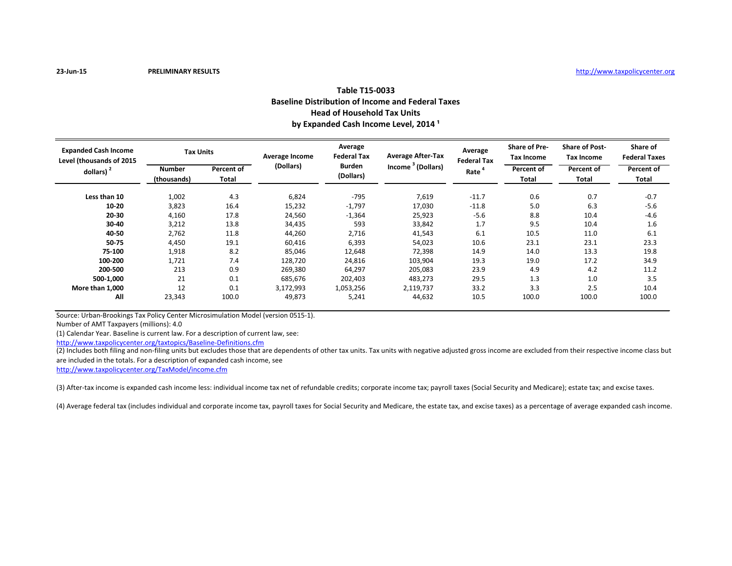## **Table T15-0033 Baseline Distribution of Income and Federal Taxes Head of Household Tax Units** by Expanded Cash Income Level, 2014<sup>1</sup>

| <b>Expanded Cash Income</b><br>Level (thousands of 2015<br>dollars) $2$ | <b>Tax Units</b>             |                            | <b>Average Income</b> | Average<br><b>Federal Tax</b> | <b>Average After-Tax</b>      | Average<br><b>Federal Tax</b> | <b>Share of Pre-</b><br><b>Tax Income</b> | <b>Share of Post-</b><br>Tax Income | Share of<br><b>Federal Taxes</b> |
|-------------------------------------------------------------------------|------------------------------|----------------------------|-----------------------|-------------------------------|-------------------------------|-------------------------------|-------------------------------------------|-------------------------------------|----------------------------------|
|                                                                         | <b>Number</b><br>(thousands) | Percent of<br><b>Total</b> | (Dollars)             | <b>Burden</b><br>(Dollars)    | Income <sup>3</sup> (Dollars) | Rate <sup>4</sup>             | <b>Percent of</b><br><b>Total</b>         | Percent of<br>Total                 | Percent of<br>Total              |
| Less than 10                                                            | 1,002                        | 4.3                        | 6,824                 | $-795$                        | 7,619                         | $-11.7$                       | 0.6                                       | 0.7                                 | $-0.7$                           |
| $10 - 20$                                                               | 3,823                        | 16.4                       | 15,232                | $-1,797$                      | 17,030                        | $-11.8$                       | 5.0                                       | 6.3                                 | $-5.6$                           |
| $20 - 30$                                                               | 4,160                        | 17.8                       | 24,560                | $-1,364$                      | 25,923                        | $-5.6$                        | 8.8                                       | 10.4                                | $-4.6$                           |
| 30-40                                                                   | 3,212                        | 13.8                       | 34,435                | 593                           | 33,842                        | 1.7                           | 9.5                                       | 10.4                                | 1.6                              |
| 40-50                                                                   | 2,762                        | 11.8                       | 44,260                | 2,716                         | 41,543                        | 6.1                           | 10.5                                      | 11.0                                | 6.1                              |
| 50-75                                                                   | 4,450                        | 19.1                       | 60,416                | 6,393                         | 54,023                        | 10.6                          | 23.1                                      | 23.1                                | 23.3                             |
| 75-100                                                                  | 1,918                        | 8.2                        | 85,046                | 12,648                        | 72,398                        | 14.9                          | 14.0                                      | 13.3                                | 19.8                             |
| 100-200                                                                 | 1,721                        | 7.4                        | 128,720               | 24,816                        | 103,904                       | 19.3                          | 19.0                                      | 17.2                                | 34.9                             |
| 200-500                                                                 | 213                          | 0.9                        | 269,380               | 64,297                        | 205,083                       | 23.9                          | 4.9                                       | 4.2                                 | 11.2                             |
| 500-1,000                                                               | 21                           | 0.1                        | 685,676               | 202,403                       | 483,273                       | 29.5                          | 1.3                                       | 1.0                                 | 3.5                              |
| More than 1,000                                                         | 12                           | 0.1                        | 3,172,993             | 1,053,256                     | 2,119,737                     | 33.2                          | 3.3                                       | 2.5                                 | 10.4                             |
| All                                                                     | 23,343                       | 100.0                      | 49,873                | 5,241                         | 44,632                        | 10.5                          | 100.0                                     | 100.0                               | 100.0                            |

Source: Urban-Brookings Tax Policy Center Microsimulation Model (version 0515-1).

Number of AMT Taxpayers (millions): 4.0

(1) Calendar Year. Baseline is current law. For a description of current law, see:

<http://www.taxpolicycenter.org/taxtopics/Baseline-Definitions.cfm>

(2) Includes both filing and non-filing units but excludes those that are dependents of other tax units. Tax units with negative adjusted gross income are excluded from their respective income class but are included in the totals. For a description of expanded cash income, see

<http://www.taxpolicycenter.org/TaxModel/income.cfm>

(3) After-tax income is expanded cash income less: individual income tax net of refundable credits; corporate income tax; payroll taxes (Social Security and Medicare); estate tax; and excise taxes.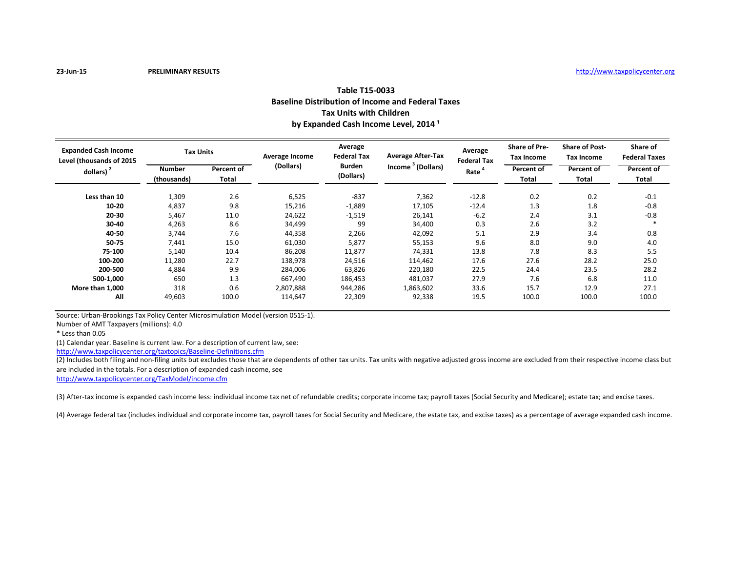## **Table T15-0033 Baseline Distribution of Income and Federal Taxes Tax Units with Children** by Expanded Cash Income Level, 2014<sup>1</sup>

| <b>Expanded Cash Income</b><br>Level (thousands of 2015<br>dollars) $2$ | <b>Tax Units</b>      |                     | <b>Average Income</b> | Average<br><b>Federal Tax</b> | <b>Average After-Tax</b>      | Average<br><b>Federal Tax</b> | <b>Share of Pre-</b><br>Tax Income | <b>Share of Post-</b><br>Tax Income | Share of<br><b>Federal Taxes</b> |
|-------------------------------------------------------------------------|-----------------------|---------------------|-----------------------|-------------------------------|-------------------------------|-------------------------------|------------------------------------|-------------------------------------|----------------------------------|
|                                                                         | Number<br>(thousands) | Percent of<br>Total | (Dollars)             | <b>Burden</b><br>(Dollars)    | Income <sup>3</sup> (Dollars) | Rate <sup>4</sup>             | <b>Percent of</b><br>Total         | Percent of<br>Total                 | Percent of<br>Total              |
| Less than 10                                                            | 1,309                 | 2.6                 | 6,525                 | $-837$                        | 7,362                         | $-12.8$                       | 0.2                                | 0.2                                 | $-0.1$                           |
| 10-20                                                                   | 4,837                 | 9.8                 | 15,216                | $-1,889$                      | 17,105                        | $-12.4$                       | 1.3                                | 1.8                                 | $-0.8$                           |
| 20-30                                                                   | 5,467                 | 11.0                | 24,622                | $-1,519$                      | 26,141                        | $-6.2$                        | 2.4                                | 3.1                                 | $-0.8$                           |
| 30-40                                                                   | 4,263                 | 8.6                 | 34,499                | 99                            | 34,400                        | 0.3                           | 2.6                                | 3.2                                 |                                  |
| 40-50                                                                   | 3,744                 | 7.6                 | 44,358                | 2,266                         | 42,092                        | 5.1                           | 2.9                                | 3.4                                 | 0.8                              |
| 50-75                                                                   | 7,441                 | 15.0                | 61,030                | 5,877                         | 55,153                        | 9.6                           | 8.0                                | 9.0                                 | 4.0                              |
| 75-100                                                                  | 5,140                 | 10.4                | 86,208                | 11,877                        | 74,331                        | 13.8                          | 7.8                                | 8.3                                 | 5.5                              |
| 100-200                                                                 | 11,280                | 22.7                | 138,978               | 24,516                        | 114,462                       | 17.6                          | 27.6                               | 28.2                                | 25.0                             |
| 200-500                                                                 | 4,884                 | 9.9                 | 284,006               | 63,826                        | 220,180                       | 22.5                          | 24.4                               | 23.5                                | 28.2                             |
| 500-1,000                                                               | 650                   | 1.3                 | 667,490               | 186,453                       | 481,037                       | 27.9                          | 7.6                                | 6.8                                 | 11.0                             |
| More than 1,000                                                         | 318                   | 0.6                 | 2,807,888             | 944,286                       | 1,863,602                     | 33.6                          | 15.7                               | 12.9                                | 27.1                             |
| All                                                                     | 49,603                | 100.0               | 114,647               | 22,309                        | 92,338                        | 19.5                          | 100.0                              | 100.0                               | 100.0                            |

Source: Urban-Brookings Tax Policy Center Microsimulation Model (version 0515-1).

Number of AMT Taxpayers (millions): 4.0

\* Less than 0.05

(1) Calendar year. Baseline is current law. For a description of current law, see:

<http://www.taxpolicycenter.org/taxtopics/Baseline-Definitions.cfm>

(2) Includes both filing and non-filing units but excludes those that are dependents of other tax units. Tax units with negative adjusted gross income are excluded from their respective income class but are included in the totals. For a description of expanded cash income, see

<http://www.taxpolicycenter.org/TaxModel/income.cfm>

(3) After-tax income is expanded cash income less: individual income tax net of refundable credits; corporate income tax; payroll taxes (Social Security and Medicare); estate tax; and excise taxes.